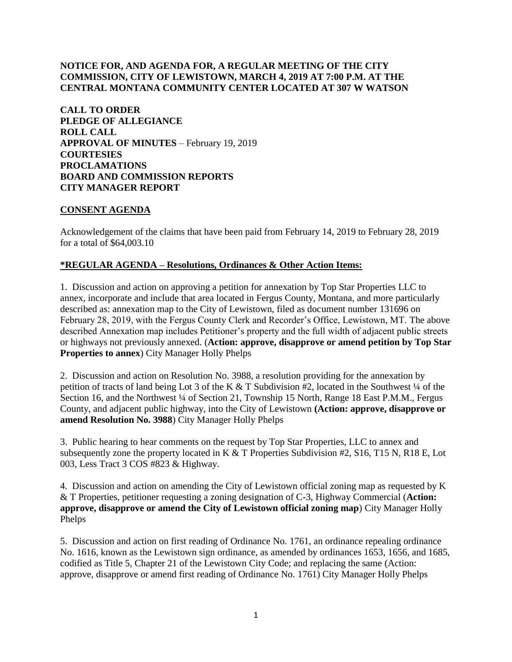### **NOTICE FOR, AND AGENDA FOR, A REGULAR MEETING OF THE CITY COMMISSION, CITY OF LEWISTOWN, MARCH 4, 2019 AT 7:00 P.M. AT THE CENTRAL MONTANA COMMUNITY CENTER LOCATED AT 307 W WATSON**

**CALL TO ORDER PLEDGE OF ALLEGIANCE ROLL CALL APPROVAL OF MINUTES** – February 19, 2019 **COURTESIES PROCLAMATIONS BOARD AND COMMISSION REPORTS CITY MANAGER REPORT** 

#### **CONSENT AGENDA**

Acknowledgement of the claims that have been paid from February 14, 2019 to February 28, 2019 for a total of \$64,003.10

#### **\*REGULAR AGENDA – Resolutions, Ordinances & Other Action Items:**

1. Discussion and action on approving a petition for annexation by Top Star Properties LLC to annex, incorporate and include that area located in Fergus County, Montana, and more particularly described as: annexation map to the City of Lewistown, filed as document number 131696 on February 28, 2019, with the Fergus County Clerk and Recorder's Office, Lewistown, MT. The above described Annexation map includes Petitioner's property and the full width of adjacent public streets or highways not previously annexed. (**Action: approve, disapprove or amend petition by Top Star Properties to annex**) City Manager Holly Phelps

2. Discussion and action on Resolution No. 3988, a resolution providing for the annexation by petition of tracts of land being Lot 3 of the K & T Subdivision #2, located in the Southwest ¼ of the Section 16, and the Northwest <sup>1</sup>/4 of Section 21, Township 15 North, Range 18 East P.M.M., Fergus County, and adjacent public highway, into the City of Lewistown **(Action: approve, disapprove or amend Resolution No. 3988**) City Manager Holly Phelps

3. Public hearing to hear comments on the request by Top Star Properties, LLC to annex and subsequently zone the property located in K & T Properties Subdivision #2, S16, T15 N, R18 E, Lot 003, Less Tract 3 COS #823 & Highway.

4. Discussion and action on amending the City of Lewistown official zoning map as requested by K & T Properties, petitioner requesting a zoning designation of C-3, Highway Commercial (**Action: approve, disapprove or amend the City of Lewistown official zoning map**) City Manager Holly Phelps

5. Discussion and action on first reading of Ordinance No. 1761, an ordinance repealing ordinance No. 1616, known as the Lewistown sign ordinance, as amended by ordinances 1653, 1656, and 1685, codified as Title 5, Chapter 21 of the Lewistown City Code; and replacing the same (Action: approve, disapprove or amend first reading of Ordinance No. 1761) City Manager Holly Phelps